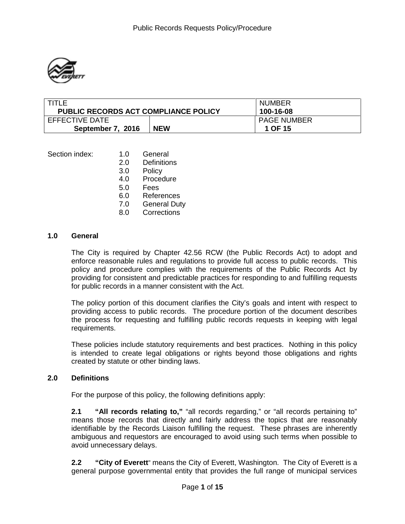

| TITI F                                      |            | <b>NUMBER</b>                 |
|---------------------------------------------|------------|-------------------------------|
| <b>PUBLIC RECORDS ACT COMPLIANCE POLICY</b> |            | 100-16-08                     |
| EFFECTIVE DATE<br>September 7, 2016         | <b>NEW</b> | <b>PAGE NUMBER</b><br>1 OF 15 |

| Section index: | 1.0 | General             |
|----------------|-----|---------------------|
|                | 2.0 | Definitions         |
|                | 3.0 | Policy              |
|                | 4.0 | Procedure           |
|                | 5.0 | Fees                |
|                | 6.0 | References          |
|                | 7.0 | <b>General Duty</b> |
|                | 8.0 | Corrections         |
|                |     |                     |

#### **1.0 General**

The City is required by Chapter 42.56 RCW (the Public Records Act) to adopt and enforce reasonable rules and regulations to provide full access to public records. This policy and procedure complies with the requirements of the Public Records Act by providing for consistent and predictable practices for responding to and fulfilling requests for public records in a manner consistent with the Act.

The policy portion of this document clarifies the City's goals and intent with respect to providing access to public records. The procedure portion of the document describes the process for requesting and fulfilling public records requests in keeping with legal requirements.

These policies include statutory requirements and best practices. Nothing in this policy is intended to create legal obligations or rights beyond those obligations and rights created by statute or other binding laws.

### **2.0 Definitions**

For the purpose of this policy, the following definitions apply:

**2.1 "All records relating to,"** "all records regarding," or "all records pertaining to" means those records that directly and fairly address the topics that are reasonably identifiable by the Records Liaison fulfilling the request. These phrases are inherently ambiguous and requestors are encouraged to avoid using such terms when possible to avoid unnecessary delays.

**2.2 "City of Everett**" means the City of Everett, Washington. The City of Everett is a general purpose governmental entity that provides the full range of municipal services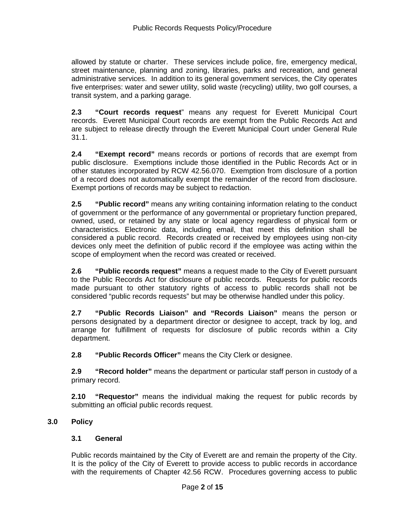allowed by statute or charter. These services include police, fire, emergency medical, street maintenance, planning and zoning, libraries, parks and recreation, and general administrative services. In addition to its general government services, the City operates five enterprises: water and sewer utility, solid waste (recycling) utility, two golf courses, a transit system, and a parking garage.

**2.3 "Court records request**" means any request for Everett Municipal Court records. Everett Municipal Court records are exempt from the Public Records Act and are subject to release directly through the Everett Municipal Court under General Rule 31.1.

**2.4 "Exempt record"** means records or portions of records that are exempt from public disclosure. Exemptions include those identified in the Public Records Act or in other statutes incorporated by RCW 42.56.070. Exemption from disclosure of a portion of a record does not automatically exempt the remainder of the record from disclosure. Exempt portions of records may be subject to redaction.

**2.5 "Public record"** means any writing containing information relating to the conduct of government or the performance of any governmental or proprietary function prepared, owned, used, or retained by any state or local agency regardless of physical form or characteristics. Electronic data, including email, that meet this definition shall be considered a public record. Records created or received by employees using non-city devices only meet the definition of public record if the employee was acting within the scope of employment when the record was created or received.

**2.6 "Public records request"** means a request made to the City of Everett pursuant to the Public Records Act for disclosure of public records. Requests for public records made pursuant to other statutory rights of access to public records shall not be considered "public records requests" but may be otherwise handled under this policy.

**2.7 "Public Records Liaison" and "Records Liaison"** means the person or persons designated by a department director or designee to accept, track by log, and arrange for fulfillment of requests for disclosure of public records within a City department.

**2.8 "Public Records Officer"** means the City Clerk or designee.

**2.9 "Record holder"** means the department or particular staff person in custody of a primary record.

**2.10 "Requestor"** means the individual making the request for public records by submitting an official public records request.

# **3.0 Policy**

### **3.1 General**

Public records maintained by the City of Everett are and remain the property of the City. It is the policy of the City of Everett to provide access to public records in accordance with the requirements of Chapter 42.56 RCW. Procedures governing access to public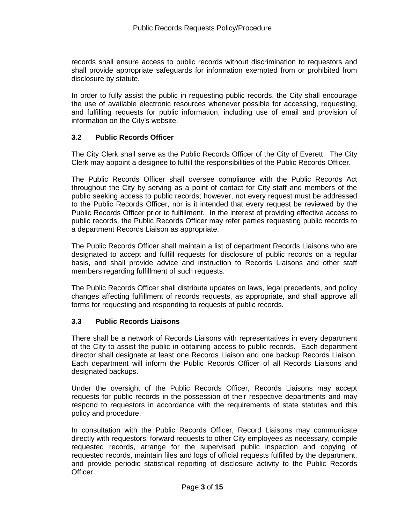records shall ensure access to public records without discrimination to requestors and shall provide appropriate safeguards for information exempted from or prohibited from disclosure by statute.

In order to fully assist the public in requesting public records, the City shall encourage the use of available electronic resources whenever possible for accessing, requesting, and fulfilling requests for public information, including use of email and provision of information on the City's website.

## **3.2 Public Records Officer**

The City Clerk shall serve as the Public Records Officer of the City of Everett. The City Clerk may appoint a designee to fulfill the responsibilities of the Public Records Officer.

The Public Records Officer shall oversee compliance with the Public Records Act throughout the City by serving as a point of contact for City staff and members of the public seeking access to public records; however, not every request must be addressed to the Public Records Officer, nor is it intended that every request be reviewed by the Public Records Officer prior to fulfillment. In the interest of providing effective access to public records, the Public Records Officer may refer parties requesting public records to a department Records Liaison as appropriate.

The Public Records Officer shall maintain a list of department Records Liaisons who are designated to accept and fulfill requests for disclosure of public records on a regular basis, and shall provide advice and instruction to Records Liaisons and other staff members regarding fulfillment of such requests.

The Public Records Officer shall distribute updates on laws, legal precedents, and policy changes affecting fulfillment of records requests, as appropriate, and shall approve all forms for requesting and responding to requests of public records.

### **3.3 Public Records Liaisons**

There shall be a network of Records Liaisons with representatives in every department of the City to assist the public in obtaining access to public records. Each department director shall designate at least one Records Liaison and one backup Records Liaison. Each department will inform the Public Records Officer of all Records Liaisons and designated backups.

Under the oversight of the Public Records Officer, Records Liaisons may accept requests for public records in the possession of their respective departments and may respond to requestors in accordance with the requirements of state statutes and this policy and procedure.

In consultation with the Public Records Officer, Record Liaisons may communicate directly with requestors, forward requests to other City employees as necessary, compile requested records, arrange for the supervised public inspection and copying of requested records, maintain files and logs of official requests fulfilled by the department, and provide periodic statistical reporting of disclosure activity to the Public Records Officer.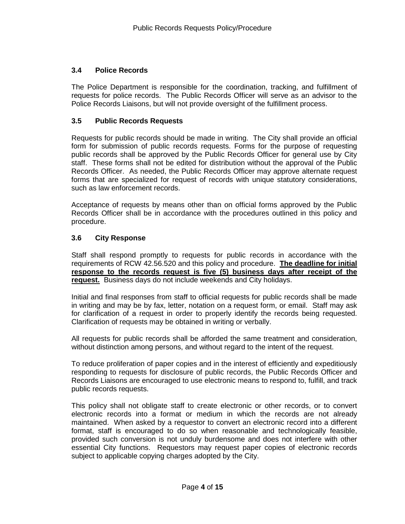## **3.4 Police Records**

The Police Department is responsible for the coordination, tracking, and fulfillment of requests for police records. The Public Records Officer will serve as an advisor to the Police Records Liaisons, but will not provide oversight of the fulfillment process.

### **3.5 Public Records Requests**

Requests for public records should be made in writing. The City shall provide an official form for submission of public records requests. Forms for the purpose of requesting public records shall be approved by the Public Records Officer for general use by City staff. These forms shall not be edited for distribution without the approval of the Public Records Officer. As needed, the Public Records Officer may approve alternate request forms that are specialized for request of records with unique statutory considerations, such as law enforcement records.

Acceptance of requests by means other than on official forms approved by the Public Records Officer shall be in accordance with the procedures outlined in this policy and procedure.

## **3.6 City Response**

Staff shall respond promptly to requests for public records in accordance with the requirements of RCW 42.56.520 and this policy and procedure. **The deadline for initial response to the records request is five (5) business days after receipt of the request.** Business days do not include weekends and City holidays.

Initial and final responses from staff to official requests for public records shall be made in writing and may be by fax, letter, notation on a request form, or email. Staff may ask for clarification of a request in order to properly identify the records being requested. Clarification of requests may be obtained in writing or verbally.

All requests for public records shall be afforded the same treatment and consideration, without distinction among persons, and without regard to the intent of the request.

To reduce proliferation of paper copies and in the interest of efficiently and expeditiously responding to requests for disclosure of public records, the Public Records Officer and Records Liaisons are encouraged to use electronic means to respond to, fulfill, and track public records requests.

This policy shall not obligate staff to create electronic or other records, or to convert electronic records into a format or medium in which the records are not already maintained. When asked by a requestor to convert an electronic record into a different format, staff is encouraged to do so when reasonable and technologically feasible, provided such conversion is not unduly burdensome and does not interfere with other essential City functions. Requestors may request paper copies of electronic records subject to applicable copying charges adopted by the City.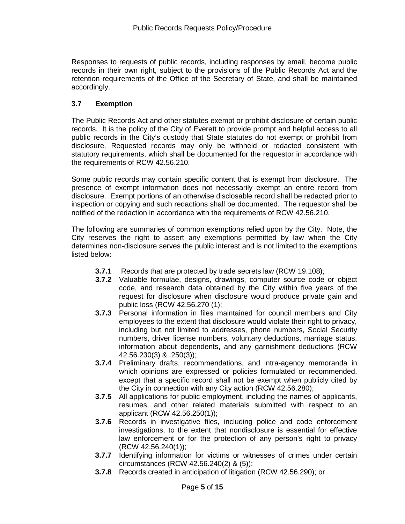Responses to requests of public records, including responses by email, become public records in their own right, subject to the provisions of the Public Records Act and the retention requirements of the Office of the Secretary of State, and shall be maintained accordingly.

# **3.7 Exemption**

The Public Records Act and other statutes exempt or prohibit disclosure of certain public records. It is the policy of the City of Everett to provide prompt and helpful access to all public records in the City's custody that State statutes do not exempt or prohibit from disclosure. Requested records may only be withheld or redacted consistent with statutory requirements, which shall be documented for the requestor in accordance with the requirements of RCW 42.56.210.

Some public records may contain specific content that is exempt from disclosure. The presence of exempt information does not necessarily exempt an entire record from disclosure. Exempt portions of an otherwise disclosable record shall be redacted prior to inspection or copying and such redactions shall be documented. The requestor shall be notified of the redaction in accordance with the requirements of RCW 42.56.210.

The following are summaries of common exemptions relied upon by the City. Note, the City reserves the right to assert any exemptions permitted by law when the City determines non-disclosure serves the public interest and is not limited to the exemptions listed below:

- **3.7.1** Records that are protected by trade secrets law (RCW 19.108);
- **3.7.2** Valuable formulae, designs, drawings, computer source code or object code, and research data obtained by the City within five years of the request for disclosure when disclosure would produce private gain and public loss (RCW 42.56.270 (1);
- **3.7.3** Personal information in files maintained for council members and City employees to the extent that disclosure would violate their right to privacy, including but not limited to addresses, phone numbers, Social Security numbers, driver license numbers, voluntary deductions, marriage status, information about dependents, and any garnishment deductions (RCW 42.56.230(3) & .250(3));
- **3.7.4** Preliminary drafts, recommendations, and intra-agency memoranda in which opinions are expressed or policies formulated or recommended, except that a specific record shall not be exempt when publicly cited by the City in connection with any City action (RCW 42.56.280);
- **3.7.5** All applications for public employment, including the names of applicants, resumes, and other related materials submitted with respect to an applicant (RCW 42.56.250(1));
- **3.7.6** Records in investigative files, including police and code enforcement investigations, to the extent that nondisclosure is essential for effective law enforcement or for the protection of any person's right to privacy (RCW 42.56.240(1));
- **3.7.7** Identifying information for victims or witnesses of crimes under certain circumstances (RCW 42.56.240(2) & (5));
- **3.7.8** Records created in anticipation of litigation (RCW 42.56.290); or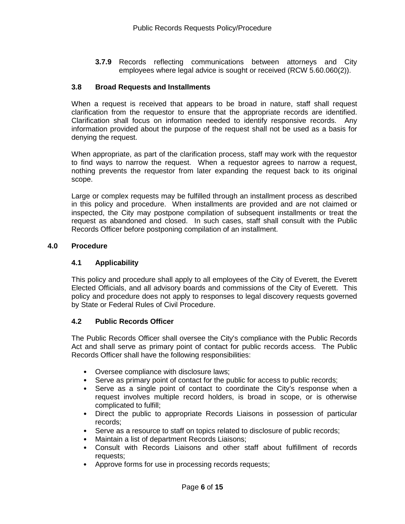**3.7.9** Records reflecting communications between attorneys and City employees where legal advice is sought or received (RCW 5.60.060(2)).

### **3.8 Broad Requests and Installments**

When a request is received that appears to be broad in nature, staff shall request clarification from the requestor to ensure that the appropriate records are identified. Clarification shall focus on information needed to identify responsive records. Any information provided about the purpose of the request shall not be used as a basis for denying the request.

When appropriate, as part of the clarification process, staff may work with the requestor to find ways to narrow the request. When a requestor agrees to narrow a request, nothing prevents the requestor from later expanding the request back to its original scope.

Large or complex requests may be fulfilled through an installment process as described in this policy and procedure. When installments are provided and are not claimed or inspected, the City may postpone compilation of subsequent installments or treat the request as abandoned and closed. In such cases, staff shall consult with the Public Records Officer before postponing compilation of an installment.

### **4.0 Procedure**

### **4.1 Applicability**

This policy and procedure shall apply to all employees of the City of Everett, the Everett Elected Officials, and all advisory boards and commissions of the City of Everett. This policy and procedure does not apply to responses to legal discovery requests governed by State or Federal Rules of Civil Procedure.

## **4.2 Public Records Officer**

The Public Records Officer shall oversee the City's compliance with the Public Records Act and shall serve as primary point of contact for public records access. The Public Records Officer shall have the following responsibilities:

- Oversee compliance with disclosure laws;
- Serve as primary point of contact for the public for access to public records;
- Serve as a single point of contact to coordinate the City's response when a request involves multiple record holders, is broad in scope, or is otherwise complicated to fulfill;
- Direct the public to appropriate Records Liaisons in possession of particular records;
- Serve as a resource to staff on topics related to disclosure of public records;
- Maintain a list of department Records Liaisons;
- Consult with Records Liaisons and other staff about fulfillment of records requests;
- Approve forms for use in processing records requests;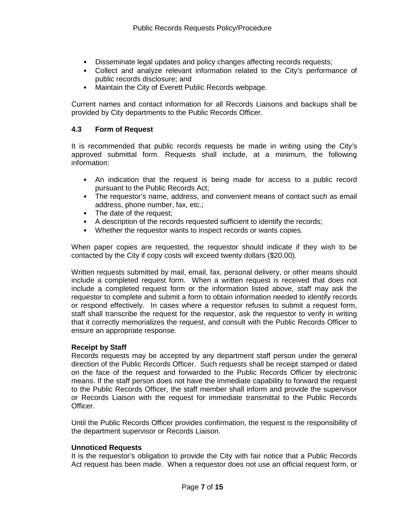- Disseminate legal updates and policy changes affecting records requests;
- Collect and analyze relevant information related to the City's performance of public records disclosure; and
- Maintain the City of Everett Public Records webpage.

Current names and contact information for all Records Liaisons and backups shall be provided by City departments to the Public Records Officer.

### **4.3 Form of Request**

It is recommended that public records requests be made in writing using the City's approved submittal form. Requests shall include, at a minimum, the following information:

- An indication that the request is being made for access to a public record pursuant to the Public Records Act;
- The requestor's name, address, and convenient means of contact such as email address, phone number, fax, etc.;
- The date of the request;
- A description of the records requested sufficient to identify the records;
- Whether the requestor wants to inspect records or wants copies.

When paper copies are requested, the requestor should indicate if they wish to be contacted by the City if copy costs will exceed twenty dollars (\$20.00).

Written requests submitted by mail, email, fax, personal delivery, or other means should include a completed request form. When a written request is received that does not include a completed request form or the information listed above, staff may ask the requestor to complete and submit a form to obtain information needed to identify records or respond effectively. In cases where a requestor refuses to submit a request form, staff shall transcribe the request for the requestor, ask the requestor to verify in writing that it correctly memorializes the request, and consult with the Public Records Officer to ensure an appropriate response.

### **Receipt by Staff**

Records requests may be accepted by any department staff person under the general direction of the Public Records Officer. Such requests shall be receipt stamped or dated on the face of the request and forwarded to the Public Records Officer by electronic means. If the staff person does not have the immediate capability to forward the request to the Public Records Officer, the staff member shall inform and provide the supervisor or Records Liaison with the request for immediate transmittal to the Public Records Officer.

Until the Public Records Officer provides confirmation, the request is the responsibility of the department supervisor or Records Liaison.

### **Unnoticed Requests**

It is the requestor's obligation to provide the City with fair notice that a Public Records Act request has been made. When a requestor does not use an official request form, or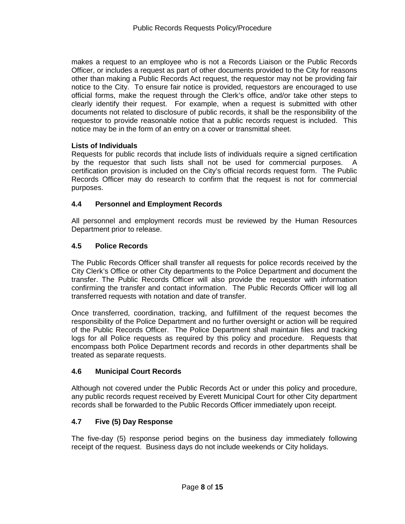makes a request to an employee who is not a Records Liaison or the Public Records Officer, or includes a request as part of other documents provided to the City for reasons other than making a Public Records Act request, the requestor may not be providing fair notice to the City. To ensure fair notice is provided, requestors are encouraged to use official forms, make the request through the Clerk's office, and/or take other steps to clearly identify their request. For example, when a request is submitted with other documents not related to disclosure of public records, it shall be the responsibility of the requestor to provide reasonable notice that a public records request is included. This notice may be in the form of an entry on a cover or transmittal sheet.

## **Lists of Individuals**

Requests for public records that include lists of individuals require a signed certification by the requestor that such lists shall not be used for commercial purposes. A certification provision is included on the City's official records request form. The Public Records Officer may do research to confirm that the request is not for commercial purposes.

## **4.4 Personnel and Employment Records**

All personnel and employment records must be reviewed by the Human Resources Department prior to release.

### **4.5 Police Records**

The Public Records Officer shall transfer all requests for police records received by the City Clerk's Office or other City departments to the Police Department and document the transfer. The Public Records Officer will also provide the requestor with information confirming the transfer and contact information. The Public Records Officer will log all transferred requests with notation and date of transfer.

Once transferred, coordination, tracking, and fulfillment of the request becomes the responsibility of the Police Department and no further oversight or action will be required of the Public Records Officer. The Police Department shall maintain files and tracking logs for all Police requests as required by this policy and procedure. Requests that encompass both Police Department records and records in other departments shall be treated as separate requests.

### **4.6 Municipal Court Records**

Although not covered under the Public Records Act or under this policy and procedure, any public records request received by Everett Municipal Court for other City department records shall be forwarded to the Public Records Officer immediately upon receipt.

### **4.7 Five (5) Day Response**

The five-day (5) response period begins on the business day immediately following receipt of the request. Business days do not include weekends or City holidays.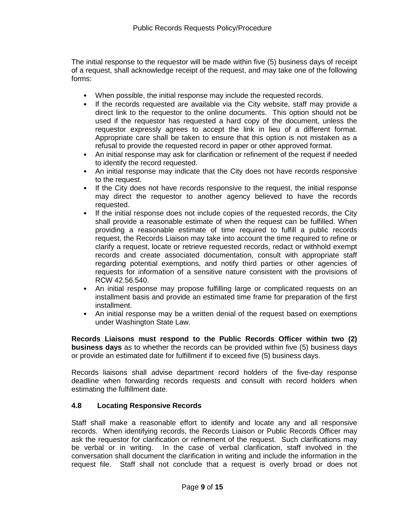The initial response to the requestor will be made within five (5) business days of receipt of a request, shall acknowledge receipt of the request, and may take one of the following forms:

- When possible, the initial response may include the requested records.
- If the records requested are available via the City website, staff may provide a direct link to the requestor to the online documents. This option should not be used if the requestor has requested a hard copy of the document, unless the requestor expressly agrees to accept the link in lieu of a different format. Appropriate care shall be taken to ensure that this option is not mistaken as a refusal to provide the requested record in paper or other approved format.
- An initial response may ask for clarification or refinement of the request if needed to identify the record requested.
- An initial response may indicate that the City does not have records responsive to the request.
- If the City does not have records responsive to the request, the initial response may direct the requestor to another agency believed to have the records requested.
- If the initial response does not include copies of the requested records, the City shall provide a reasonable estimate of when the request can be fulfilled. When providing a reasonable estimate of time required to fulfill a public records request, the Records Liaison may take into account the time required to refine or clarify a request, locate or retrieve requested records, redact or withhold exempt records and create associated documentation, consult with appropriate staff regarding potential exemptions, and notify third parties or other agencies of requests for information of a sensitive nature consistent with the provisions of RCW 42.56.540.
- An initial response may propose fulfilling large or complicated requests on an installment basis and provide an estimated time frame for preparation of the first installment.
- An initial response may be a written denial of the request based on exemptions under Washington State Law.

**Records Liaisons must respond to the Public Records Officer within two (2) business days** as to whether the records can be provided within five (5) business days or provide an estimated date for fulfillment if to exceed five (5) business days.

Records liaisons shall advise department record holders of the five-day response deadline when forwarding records requests and consult with record holders when estimating the fulfillment date.

### **4.8 Locating Responsive Records**

Staff shall make a reasonable effort to identify and locate any and all responsive records. When identifying records, the Records Liaison or Public Records Officer may ask the requestor for clarification or refinement of the request. Such clarifications may be verbal or in writing. In the case of verbal clarification, staff involved in the conversation shall document the clarification in writing and include the information in the request file. Staff shall not conclude that a request is overly broad or does not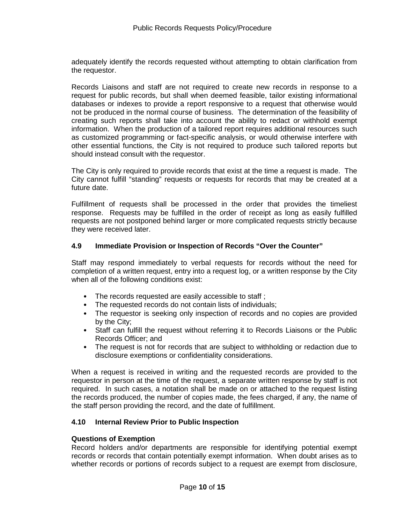adequately identify the records requested without attempting to obtain clarification from the requestor.

Records Liaisons and staff are not required to create new records in response to a request for public records, but shall when deemed feasible, tailor existing informational databases or indexes to provide a report responsive to a request that otherwise would not be produced in the normal course of business. The determination of the feasibility of creating such reports shall take into account the ability to redact or withhold exempt information. When the production of a tailored report requires additional resources such as customized programming or fact-specific analysis, or would otherwise interfere with other essential functions, the City is not required to produce such tailored reports but should instead consult with the requestor.

The City is only required to provide records that exist at the time a request is made. The City cannot fulfill "standing" requests or requests for records that may be created at a future date.

Fulfillment of requests shall be processed in the order that provides the timeliest response. Requests may be fulfilled in the order of receipt as long as easily fulfilled requests are not postponed behind larger or more complicated requests strictly because they were received later.

### **4.9 Immediate Provision or Inspection of Records "Over the Counter"**

Staff may respond immediately to verbal requests for records without the need for completion of a written request, entry into a request log, or a written response by the City when all of the following conditions exist:

- The records requested are easily accessible to staff ;
- The requested records do not contain lists of individuals;
- The requestor is seeking only inspection of records and no copies are provided by the City;
- Staff can fulfill the request without referring it to Records Liaisons or the Public Records Officer; and
- The request is not for records that are subject to withholding or redaction due to disclosure exemptions or confidentiality considerations.

When a request is received in writing and the requested records are provided to the requestor in person at the time of the request, a separate written response by staff is not required. In such cases, a notation shall be made on or attached to the request listing the records produced, the number of copies made, the fees charged, if any, the name of the staff person providing the record, and the date of fulfillment.

### **4.10 Internal Review Prior to Public Inspection**

### **Questions of Exemption**

Record holders and/or departments are responsible for identifying potential exempt records or records that contain potentially exempt information. When doubt arises as to whether records or portions of records subject to a request are exempt from disclosure,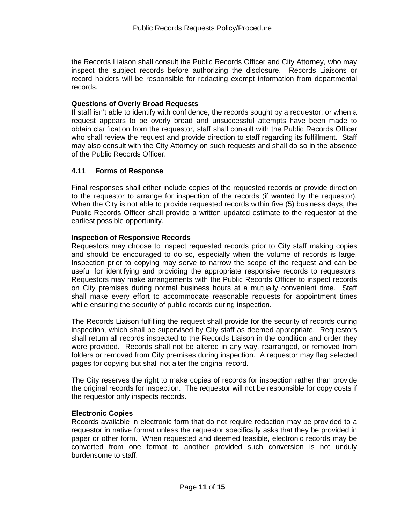the Records Liaison shall consult the Public Records Officer and City Attorney, who may inspect the subject records before authorizing the disclosure. Records Liaisons or record holders will be responsible for redacting exempt information from departmental records.

## **Questions of Overly Broad Requests**

If staff isn't able to identify with confidence, the records sought by a requestor, or when a request appears to be overly broad and unsuccessful attempts have been made to obtain clarification from the requestor, staff shall consult with the Public Records Officer who shall review the request and provide direction to staff regarding its fulfillment. Staff may also consult with the City Attorney on such requests and shall do so in the absence of the Public Records Officer.

## **4.11 Forms of Response**

Final responses shall either include copies of the requested records or provide direction to the requestor to arrange for inspection of the records (if wanted by the requestor). When the City is not able to provide requested records within five (5) business days, the Public Records Officer shall provide a written updated estimate to the requestor at the earliest possible opportunity.

### **Inspection of Responsive Records**

Requestors may choose to inspect requested records prior to City staff making copies and should be encouraged to do so, especially when the volume of records is large. Inspection prior to copying may serve to narrow the scope of the request and can be useful for identifying and providing the appropriate responsive records to requestors. Requestors may make arrangements with the Public Records Officer to inspect records on City premises during normal business hours at a mutually convenient time. Staff shall make every effort to accommodate reasonable requests for appointment times while ensuring the security of public records during inspection.

The Records Liaison fulfilling the request shall provide for the security of records during inspection, which shall be supervised by City staff as deemed appropriate. Requestors shall return all records inspected to the Records Liaison in the condition and order they were provided. Records shall not be altered in any way, rearranged, or removed from folders or removed from City premises during inspection. A requestor may flag selected pages for copying but shall not alter the original record.

The City reserves the right to make copies of records for inspection rather than provide the original records for inspection. The requestor will not be responsible for copy costs if the requestor only inspects records.

### **Electronic Copies**

Records available in electronic form that do not require redaction may be provided to a requestor in native format unless the requestor specifically asks that they be provided in paper or other form. When requested and deemed feasible, electronic records may be converted from one format to another provided such conversion is not unduly burdensome to staff.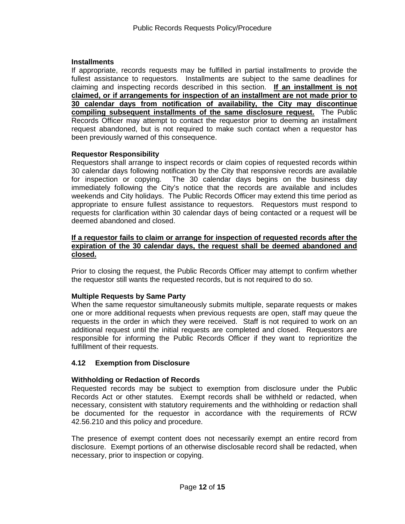### **Installments**

If appropriate, records requests may be fulfilled in partial installments to provide the fullest assistance to requestors. Installments are subject to the same deadlines for claiming and inspecting records described in this section. **If an installment is not claimed, or if arrangements for inspection of an installment are not made prior to 30 calendar days from notification of availability, the City may discontinue compiling subsequent installments of the same disclosure request.** The Public Records Officer may attempt to contact the requestor prior to deeming an installment request abandoned, but is not required to make such contact when a requestor has been previously warned of this consequence.

### **Requestor Responsibility**

Requestors shall arrange to inspect records or claim copies of requested records within 30 calendar days following notification by the City that responsive records are available<br>for inspection or copying. The 30 calendar days begins on the business day The 30 calendar days begins on the business day immediately following the City's notice that the records are available and includes weekends and City holidays. The Public Records Officer may extend this time period as appropriate to ensure fullest assistance to requestors. Requestors must respond to requests for clarification within 30 calendar days of being contacted or a request will be deemed abandoned and closed.

#### **If a requestor fails to claim or arrange for inspection of requested records after the expiration of the 30 calendar days, the request shall be deemed abandoned and closed.**

Prior to closing the request, the Public Records Officer may attempt to confirm whether the requestor still wants the requested records, but is not required to do so.

### **Multiple Requests by Same Party**

When the same requestor simultaneously submits multiple, separate requests or makes one or more additional requests when previous requests are open, staff may queue the requests in the order in which they were received. Staff is not required to work on an additional request until the initial requests are completed and closed. Requestors are responsible for informing the Public Records Officer if they want to reprioritize the fulfillment of their requests.

### **4.12 Exemption from Disclosure**

### **Withholding or Redaction of Records**

Requested records may be subject to exemption from disclosure under the Public Records Act or other statutes. Exempt records shall be withheld or redacted, when necessary, consistent with statutory requirements and the withholding or redaction shall be documented for the requestor in accordance with the requirements of RCW 42.56.210 and this policy and procedure.

The presence of exempt content does not necessarily exempt an entire record from disclosure. Exempt portions of an otherwise disclosable record shall be redacted, when necessary, prior to inspection or copying.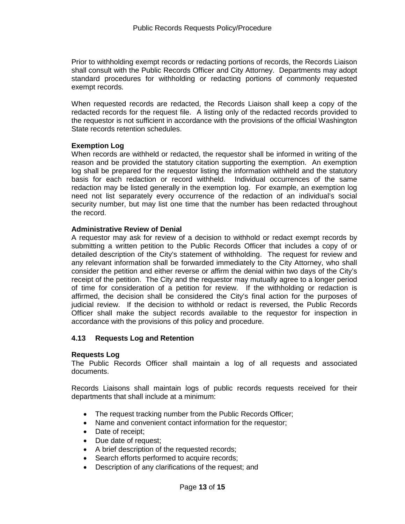Prior to withholding exempt records or redacting portions of records, the Records Liaison shall consult with the Public Records Officer and City Attorney. Departments may adopt standard procedures for withholding or redacting portions of commonly requested exempt records.

When requested records are redacted, the Records Liaison shall keep a copy of the redacted records for the request file. A listing only of the redacted records provided to the requestor is not sufficient in accordance with the provisions of the official Washington State records retention schedules.

### **Exemption Log**

When records are withheld or redacted, the requestor shall be informed in writing of the reason and be provided the statutory citation supporting the exemption. An exemption log shall be prepared for the requestor listing the information withheld and the statutory basis for each redaction or record withheld. Individual occurrences of the same redaction may be listed generally in the exemption log. For example, an exemption log need not list separately every occurrence of the redaction of an individual's social security number, but may list one time that the number has been redacted throughout the record.

### **Administrative Review of Denial**

A requestor may ask for review of a decision to withhold or redact exempt records by submitting a written petition to the Public Records Officer that includes a copy of or detailed description of the City's statement of withholding. The request for review and any relevant information shall be forwarded immediately to the City Attorney, who shall consider the petition and either reverse or affirm the denial within two days of the City's receipt of the petition. The City and the requestor may mutually agree to a longer period of time for consideration of a petition for review. If the withholding or redaction is affirmed, the decision shall be considered the City's final action for the purposes of judicial review. If the decision to withhold or redact is reversed, the Public Records Officer shall make the subject records available to the requestor for inspection in accordance with the provisions of this policy and procedure.

### **4.13 Requests Log and Retention**

### **Requests Log**

The Public Records Officer shall maintain a log of all requests and associated documents.

Records Liaisons shall maintain logs of public records requests received for their departments that shall include at a minimum:

- The request tracking number from the Public Records Officer;
- Name and convenient contact information for the requestor;
- Date of receipt:
- Due date of request;
- A brief description of the requested records;
- Search efforts performed to acquire records;
- Description of any clarifications of the request; and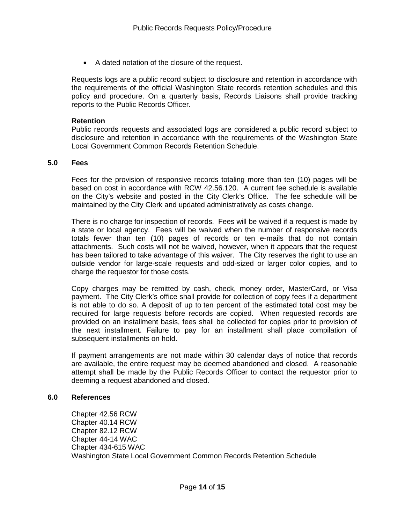• A dated notation of the closure of the request.

Requests logs are a public record subject to disclosure and retention in accordance with the requirements of the official Washington State records retention schedules and this policy and procedure. On a quarterly basis, Records Liaisons shall provide tracking reports to the Public Records Officer.

#### **Retention**

Public records requests and associated logs are considered a public record subject to disclosure and retention in accordance with the requirements of the Washington State Local Government Common Records Retention Schedule.

#### **5.0 Fees**

Fees for the provision of responsive records totaling more than ten (10) pages will be based on cost in accordance with RCW 42.56.120. A current fee schedule is available on the City's website and posted in the City Clerk's Office. The fee schedule will be maintained by the City Clerk and updated administratively as costs change.

There is no charge for inspection of records. Fees will be waived if a request is made by a state or local agency. Fees will be waived when the number of responsive records totals fewer than ten (10) pages of records or ten e-mails that do not contain attachments. Such costs will not be waived, however, when it appears that the request has been tailored to take advantage of this waiver. The City reserves the right to use an outside vendor for large-scale requests and odd-sized or larger color copies, and to charge the requestor for those costs.

Copy charges may be remitted by cash, check, money order, MasterCard, or Visa payment. The City Clerk's office shall provide for collection of copy fees if a department is not able to do so. A deposit of up to ten percent of the estimated total cost may be required for large requests before records are copied. When requested records are provided on an installment basis, fees shall be collected for copies prior to provision of the next installment. Failure to pay for an installment shall place compilation of subsequent installments on hold.

If payment arrangements are not made within 30 calendar days of notice that records are available, the entire request may be deemed abandoned and closed. A reasonable attempt shall be made by the Public Records Officer to contact the requestor prior to deeming a request abandoned and closed.

#### **6.0 References**

Chapter 42.56 RCW Chapter 40.14 RCW Chapter 82.12 RCW Chapter 44-14 WAC Chapter 434-615 WAC Washington State Local Government Common Records Retention Schedule